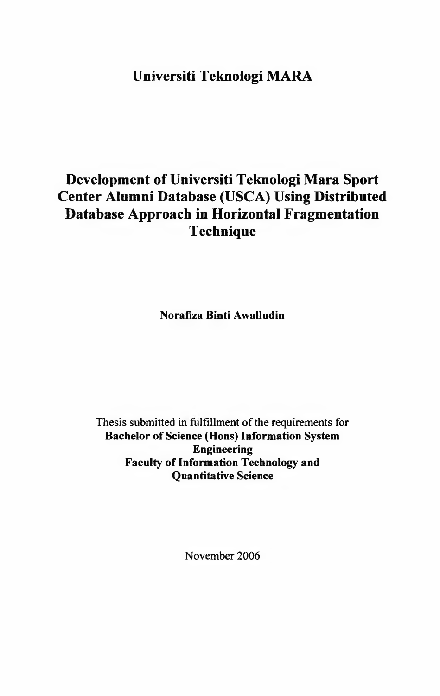## **Universiti Teknologi MARA**

# **Development of Universiti Teknologi Mara Sport Center Alumni Database (USCA) Using Distributed Database Approach in Horizontal Fragmentation Technique**

**Norafiza Binti Awalludin**

Thesis submitted in fulfillment of the requirements for **Bachelor of Science (Hons) Information System Engineering Faculty of Information Technology and Quantitative Science**

November 2006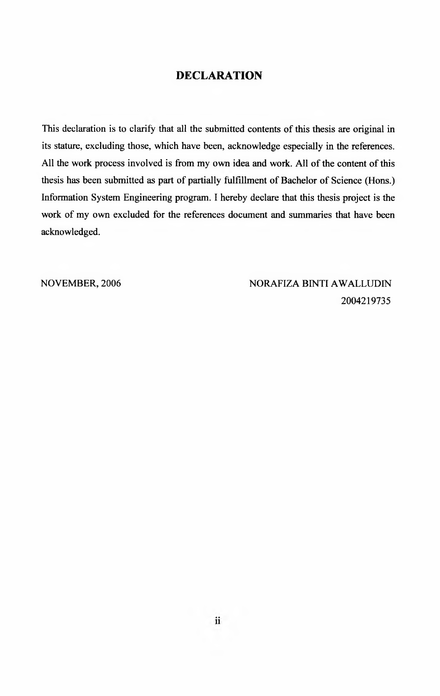#### <span id="page-1-0"></span>**DECLARATION**

This declaration is to clarify that all the submitted contents of this thesis are original in its stature, excluding those, which have been, acknowledge especially in the references. All the work process involved is from my own idea and work. All of the content of this thesis has been submitted as part of partially fulfillment of Bachelor of Science (Hons.) Information System Engineering program. I hereby declare that this thesis project is the work of my own excluded for the references document and summaries that have been acknowledged.

NOVEMBER, 2006 NORAFIZA BINTI AWALLUDIN 2004219735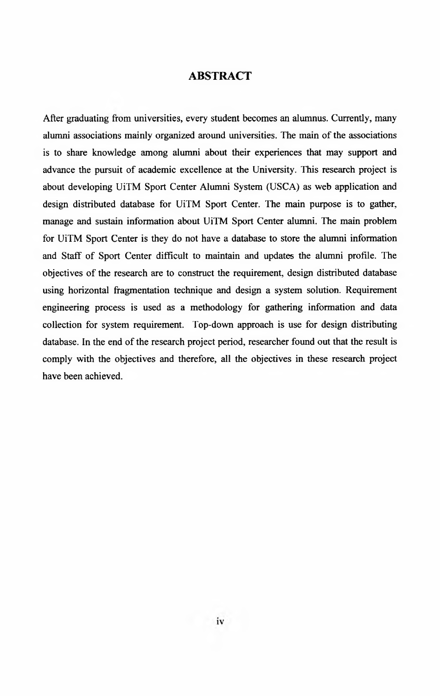#### <span id="page-2-0"></span>**ABSTRACT**

After graduating from universities, every student becomes an alumnus. Currently, many alumni associations mainly organized around universities. The main of the associations is to share knowledge among alumni about their experiences that may support and advance the pursuit of academic excellence at the University. This research project is about developing UiTM Sport Center Alumni System (USCA) as web application and design distributed database for UiTM Sport Center. The main purpose is to gather, manage and sustain information about UiTM Sport Center alumni. The main problem for UiTM Sport Center is they do not have a database to store the alumni information and Staff of Sport Center difficult to maintain and updates the alumni profile. The objectives of the research are to construct the requirement, design distributed database using horizontal fragmentation technique and design a system solution. Requirement engineering process is used as a methodology for gathering information and data collection for system requirement. Top-down approach is use for design distributing database. In the end of the research project period, researcher found out that the result is comply with the objectives and therefore, all the objectives in these research project have been achieved.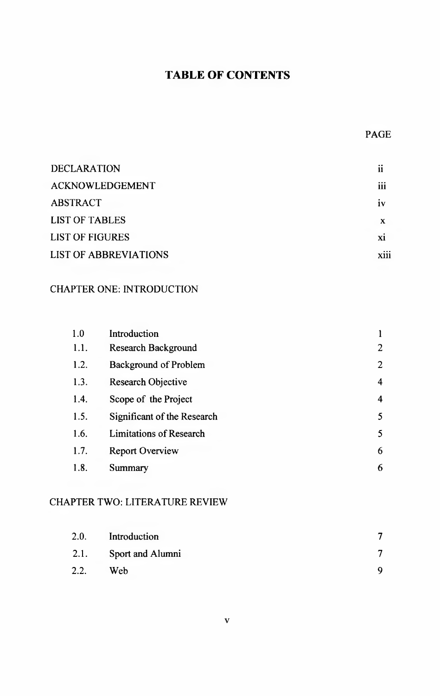## **TABLE OF CONTENTS**

### PAGE

| <b>DECLARATION</b>           | ii             |
|------------------------------|----------------|
| <b>ACKNOWLEDGEMENT</b>       | <br>111        |
| <b>ABSTRACT</b>              | 1 <sub>V</sub> |
| <b>LIST OF TABLES</b>        | X              |
| <b>LIST OF FIGURES</b>       | X1             |
| <b>LIST OF ABBREVIATIONS</b> | <b>X111</b>    |

## CHAPTER ONE: INTRODUCTION

| 1.0  | Introduction                   |                |
|------|--------------------------------|----------------|
| 1.1. | <b>Research Background</b>     | $\overline{2}$ |
| 1.2. | <b>Background of Problem</b>   | $\overline{2}$ |
| 1.3. | Research Objective             | $\overline{4}$ |
| 1.4. | Scope of the Project           | 4              |
| 1.5. | Significant of the Research    | 5              |
| 1.6. | <b>Limitations of Research</b> | 5              |
| 1.7. | <b>Report Overview</b>         | 6              |
| 1.8. | Summary                        | 6              |

#### CHAPTER TWO: LITERATURE REVIEW

| 2.0. | Introduction     |  |
|------|------------------|--|
| 2.1. | Sport and Alumni |  |
| 2.2. | Web              |  |